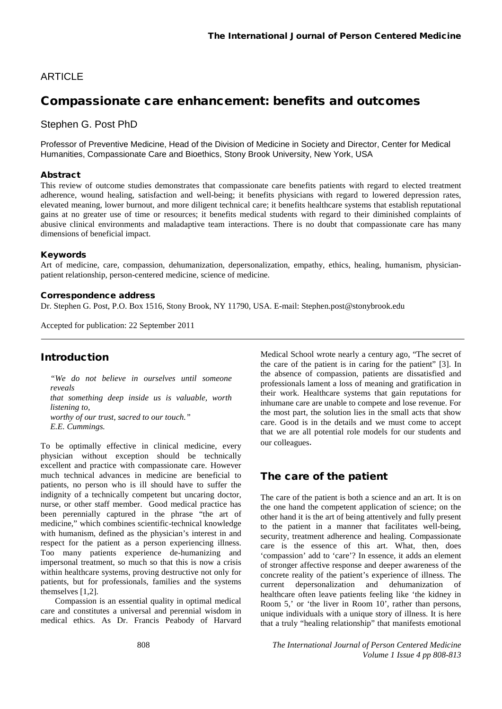## **ARTICLE**

# Compassionate care enhancement: benefits and outcomes

Stephen G. Post PhD

Professor of Preventive Medicine, Head of the Division of Medicine in Society and Director, Center for Medical Humanities, Compassionate Care and Bioethics, Stony Brook University, New York, USA

#### Abstract

This review of outcome studies demonstrates that compassionate care benefits patients with regard to elected treatment adherence, wound healing, satisfaction and well-being; it benefits physicians with regard to lowered depression rates, elevated meaning, lower burnout, and more diligent technical care; it benefits healthcare systems that establish reputational gains at no greater use of time or resources; it benefits medical students with regard to their diminished complaints of abusive clinical environments and maladaptive team interactions. There is no doubt that compassionate care has many dimensions of beneficial impact.

#### Keywords

Art of medicine, care, compassion, dehumanization, depersonalization, empathy, ethics, healing, humanism, physicianpatient relationship, person-centered medicine, science of medicine.

#### Correspondence address

Dr. Stephen G. Post, P.O. Box 1516, Stony Brook, NY 11790, USA. E-mail[: Stephen.post@stonybrook.edu](mailto:Stephen.post@stonybrook.edu)

Accepted for publication: 22 September 2011

## **Introduction**

*"We do not believe in ourselves until someone reveals that something deep inside us is valuable, worth listening to, worthy of our trust, sacred to our touch." E.E. Cummings.*

To be optimally effective in clinical medicine, every physician without exception should be technically excellent and practice with compassionate care. However much technical advances in medicine are beneficial to patients, no person who is ill should have to suffer the indignity of a technically competent but uncaring doctor, nurse, or other staff member. Good medical practice has been perennially captured in the phrase "the art of medicine," which combines scientific-technical knowledge with humanism, defined as the physician's interest in and respect for the patient as a person experiencing illness. Too many patients experience de-humanizing and impersonal treatment, so much so that this is now a crisis within healthcare systems, proving destructive not only for patients, but for professionals, families and the systems themselves [1,2].

Compassion is an essential quality in optimal medical care and constitutes a universal and perennial wisdom in medical ethics. As Dr. Francis Peabody of Harvard Medical School wrote nearly a century ago, "The secret of the care of the patient is in caring for the patient" [3]. In the absence of compassion, patients are dissatisfied and professionals lament a loss of meaning and gratification in their work. Healthcare systems that gain reputations for inhumane care are unable to compete and lose revenue. For the most part, the solution lies in the small acts that show care. Good is in the details and we must come to accept that we are all potential role models for our students and our colleagues.

## The care of the patient

The care of the patient is both a science and an art. It is on the one hand the competent application of science; on the other hand it is the art of being attentively and fully present to the patient in a manner that facilitates well-being, security, treatment adherence and healing. Compassionate care is the essence of this art. What, then, does 'compassion' add to 'care'? In essence, it adds an element of stronger affective response and deeper awareness of the concrete reality of the patient's experience of illness. The current depersonalization and dehumanization of healthcare often leave patients feeling like 'the kidney in Room 5,' or 'the liver in Room 10', rather than persons, unique individuals with a unique story of illness. It is here that a truly "healing relationship" that manifests emotional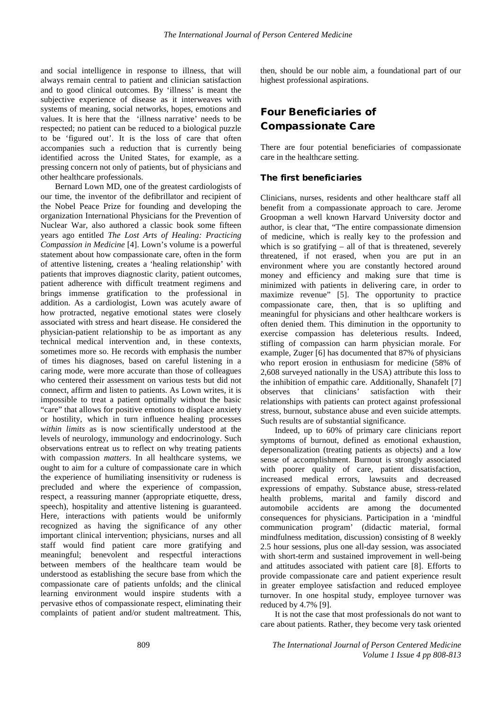and social intelligence in response to illness, that will always remain central to patient and clinician satisfaction and to good clinical outcomes. By 'illness' is meant the subjective experience of disease as it interweaves with systems of meaning, social networks, hopes, emotions and values. It is here that the 'illness narrative' needs to be respected; no patient can be reduced to a biological puzzle to be 'figured out'. It is the loss of care that often accompanies such a reduction that is currently being identified across the United States, for example, as a pressing concern not only of patients, but of physicians and other healthcare professionals.

Bernard Lown MD, one of the greatest cardiologists of our time, the inventor of the defibrillator and recipient of the Nobel Peace Prize for founding and developing the organization International Physicians for the Prevention of Nuclear War, also authored a classic book some fifteen years ago entitled *The Lost Arts of Healing: Practicing Compassion in Medicine* [4]. Lown's volume is a powerful statement about how compassionate care, often in the form of attentive listening, creates a 'healing relationship' with patients that improves diagnostic clarity, patient outcomes, patient adherence with difficult treatment regimens and brings immense gratification to the professional in addition. As a cardiologist, Lown was acutely aware of how protracted, negative emotional states were closely associated with stress and heart disease. He considered the physician-patient relationship to be as important as any technical medical intervention and, in these contexts, sometimes more so. He records with emphasis the number of times his diagnoses, based on careful listening in a caring mode, were more accurate than those of colleagues who centered their assessment on various tests but did not connect, affirm and listen to patients. As Lown writes, it is impossible to treat a patient optimally without the basic "care" that allows for positive emotions to displace anxiety or hostility, which in turn influence healing processes *within limits* as is now scientifically understood at the levels of neurology, immunology and endocrinology. Such observations entreat us to reflect on why treating patients with compassion *matters*. In all healthcare systems, we ought to aim for a culture of compassionate care in which the experience of humiliating insensitivity or rudeness is precluded and where the experience of compassion, respect, a reassuring manner (appropriate etiquette, dress, speech), hospitality and attentive listening is guaranteed. Here, interactions with patients would be uniformly recognized as having the significance of any other important clinical intervention; physicians, nurses and all staff would find patient care more gratifying and meaningful; benevolent and respectful interactions between members of the healthcare team would be understood as establishing the secure base from which the compassionate care of patients unfolds; and the clinical learning environment would inspire students with a pervasive ethos of compassionate respect, eliminating their complaints of patient and/or student maltreatment. This,

then, should be our noble aim, a foundational part of our highest professional aspirations.

# Four Beneficiaries of Compassionate Care

There are four potential beneficiaries of compassionate care in the healthcare setting.

#### The first beneficiaries

Clinicians, nurses, residents and other healthcare staff all benefit from a compassionate approach to care. Jerome Groopman a well known Harvard University doctor and author, is clear that, "The entire compassionate dimension of medicine, which is really key to the profession and which is so gratifying – all of that is threatened, severely threatened, if not erased, when you are put in an environment where you are constantly hectored around money and efficiency and making sure that time is minimized with patients in delivering care, in order to maximize revenue" [5]. The opportunity to practice compassionate care, then, that is so uplifting and meaningful for physicians and other healthcare workers is often denied them. This diminution in the opportunity to exercise compassion has deleterious results. Indeed, stifling of compassion can harm physician morale. For example, Zuger [6] has documented that 87% of physicians who report erosion in enthusiasm for medicine (58% of 2,608 surveyed nationally in the USA) attribute this loss to the inhibition of empathic care. Additionally, Shanafelt [7] observes that clinicians' satisfaction with their relationships with patients can protect against professional stress, burnout, substance abuse and even suicide attempts. Such results are of substantial significance.

Indeed, up to 60% of primary care clinicians report symptoms of burnout, defined as emotional exhaustion, depersonalization (treating patients as objects) and a low sense of accomplishment. Burnout is strongly associated with poorer quality of care, patient dissatisfaction, increased medical errors, lawsuits and decreased expressions of empathy. Substance abuse, stress-related health problems, marital and family discord and automobile accidents are among the documented consequences for physicians. Participation in a 'mindful communication program' (didactic material, formal mindfulness meditation, discussion) consisting of 8 weekly 2.5 hour sessions, plus one all-day session, was associated with short-term and sustained improvement in well-being and attitudes associated with patient care [8]. Efforts to provide compassionate care and patient experience result in greater employee satisfaction and reduced employee turnover. In one hospital study, employee turnover was reduced by 4.7% [9].

It is not the case that most professionals do not want to care about patients. Rather, they become very task oriented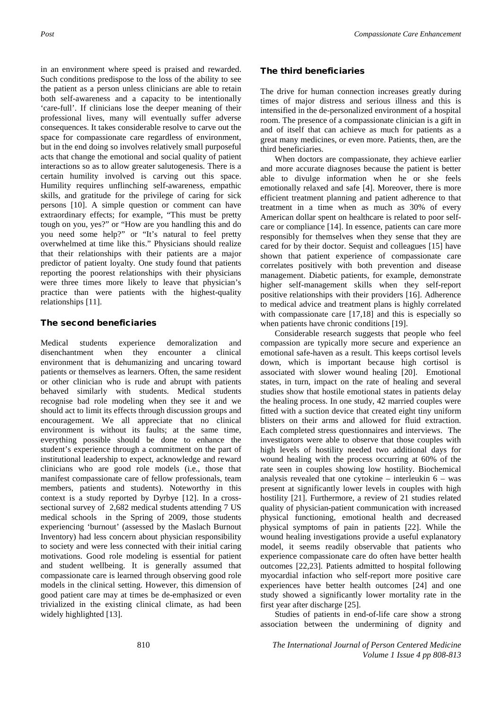in an environment where speed is praised and rewarded. Such conditions predispose to the loss of the ability to see the patient as a person unless clinicians are able to retain both self-awareness and a capacity to be intentionally 'care-full'. If clinicians lose the deeper meaning of their professional lives, many will eventually suffer adverse consequences. It takes considerable resolve to carve out the space for compassionate care regardless of environment, but in the end doing so involves relatively small purposeful acts that change the emotional and social quality of patient interactions so as to allow greater salutogenesis. There is a certain humility involved is carving out this space. Humility requires unflinching self-awareness, empathic skills, and gratitude for the privilege of caring for sick persons [10]. A simple question or comment can have extraordinary effects; for example, "This must be pretty tough on you, yes?" or "How are you handling this and do you need some help?" or "It's natural to feel pretty overwhelmed at time like this." Physicians should realize that their relationships with their patients are a major predictor of patient loyalty. One study found that patients reporting the poorest relationships with their physicians were three times more likely to leave that physician's practice than were patients with the highest-quality relationships [11].

#### The second beneficiaries

Medical students experience demoralization and disenchantment when they encounter a clinical environment that is dehumanizing and uncaring toward patients or themselves as learners. Often, the same resident or other clinician who is rude and abrupt with patients behaved similarly with students. Medical students recognise bad role modeling when they see it and we should act to limit its effects through discussion groups and encouragement. We all appreciate that no clinical environment is without its faults; at the same time, everything possible should be done to enhance the student's experience through a commitment on the part of institutional leadership to expect, acknowledge and reward clinicians who are good role models (i.e., those that manifest compassionate care of fellow professionals, team members, patients and students). Noteworthy in this context is a study reported by Dyrbye [12]. In a crosssectional survey of 2,682 medical students attending 7 US medical schools in the Spring of 2009, those students experiencing 'burnout' (assessed by the Maslach Burnout Inventory) had less concern about physician responsibility to society and were less connected with their initial caring motivations. Good role modeling is essential for patient and student wellbeing. It is generally assumed that compassionate care is learned through observing good role models in the clinical setting. However, this dimension of good patient care may at times be de-emphasized or even trivialized in the existing clinical climate, as had been widely highlighted [13].

### The third beneficiaries

The drive for human connection increases greatly during times of major distress and serious illness and this is intensified in the de-personalized environment of a hospital room. The presence of a compassionate clinician is a gift in and of itself that can achieve as much for patients as a great many medicines, or even more. Patients, then, are the third beneficiaries.

When doctors are compassionate, they achieve earlier and more accurate diagnoses because the patient is better able to divulge information when he or she feels emotionally relaxed and safe [4]. Moreover, there is more efficient treatment planning and patient adherence to that treatment in a time when as much as 30% of every American dollar spent on healthcare is related to poor selfcare or compliance [14]. In essence, patients can care more responsibly for themselves when they sense that they are cared for by their doctor. Sequist and colleagues [15] have shown that patient experience of compassionate care correlates positively with both prevention and disease management. Diabetic patients, for example, demonstrate higher self-management skills when they self-report positive relationships with their providers [16]. Adherence to medical advice and treatment plans is highly correlated with compassionate care [17,18] and this is especially so when patients have chronic conditions [19].

Considerable research suggests that people who feel compassion are typically more secure and experience an emotional safe-haven as a result. This keeps cortisol levels down, which is important because high cortisol is associated with slower wound healing [20]. Emotional states, in turn, impact on the rate of healing and several studies show that hostile emotional states in patients delay the healing process. In one study, 42 married couples were fitted with a suction device that created eight tiny uniform blisters on their arms and allowed for fluid extraction. Each completed stress questionnaires and interviews. The investigators were able to observe that those couples with high levels of hostility needed two additional days for wound healing with the process occurring at 60% of the rate seen in couples showing low hostility. Biochemical analysis revealed that one cytokine – interleukin 6 – was present at significantly lower levels in couples with high hostility [21]. Furthermore, a review of 21 studies related quality of physician-patient communication with increased physical functioning, emotional health and decreased physical symptoms of pain in patients [22]. While the wound healing investigations provide a useful explanatory model, it seems readily observable that patients who experience compassionate care do often have better health outcomes [22,23]. Patients admitted to hospital following myocardial infaction who self-report more positive care experiences have better health outcomes [24] and one study showed a significantly lower mortality rate in the first year after discharge [25].

Studies of patients in end-of-life care show a strong association between the undermining of dignity and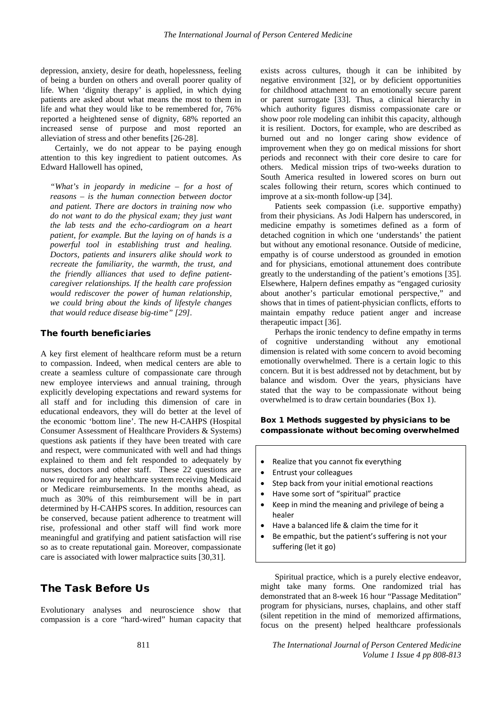depression, anxiety, desire for death, hopelessness, feeling of being a burden on others and overall poorer quality of life. When 'dignity therapy' is applied, in which dying patients are asked about what means the most to them in life and what they would like to be remembered for, 76% reported a heightened sense of dignity, 68% reported an increased sense of purpose and most reported an alleviation of stress and other benefits [26-28].

Certainly, we do not appear to be paying enough attention to this key ingredient to patient outcomes. As Edward Hallowell has opined,

*"What's in jeopardy in medicine – for a host of reasons – is the human connection between doctor and patient. There are doctors in training now who do not want to do the physical exam; they just want the lab tests and the echo-cardiogram on a heart patient, for example. But the laying on of hands is a powerful tool in establishing trust and healing. Doctors, patients and insurers alike should work to recreate the familiarity, the warmth, the trust, and the friendly alliances that used to define patientcaregiver relationships. If the health care profession would rediscover the power of human relationship, we could bring about the kinds of lifestyle changes that would reduce disease big-time" [29].*

#### The fourth beneficiaries

A key first element of healthcare reform must be a return to compassion. Indeed, when medical centers are able to create a seamless culture of compassionate care through new employee interviews and annual training, through explicitly developing expectations and reward systems for all staff and for including this dimension of care in educational endeavors, they will do better at the level of the economic 'bottom line'. The new H-CAHPS (Hospital Consumer Assessment of Healthcare Providers & Systems) questions ask patients if they have been treated with care and respect, were communicated with well and had things explained to them and felt responded to adequately by nurses, doctors and other staff. These 22 questions are now required for any healthcare system receiving Medicaid or Medicare reimbursements. In the months ahead, as much as 30% of this reimbursement will be in part determined by H-CAHPS scores. In addition, resources can be conserved, because patient adherence to treatment will rise, professional and other staff will find work more meaningful and gratifying and patient satisfaction will rise so as to create reputational gain. Moreover, compassionate care is associated with lower malpractice suits [30,31].

## The Task Before Us

Evolutionary analyses and neuroscience show that compassion is a core "hard-wired" human capacity that exists across cultures, though it can be inhibited by negative environment [32], or by deficient opportunities for childhood attachment to an emotionally secure parent or parent surrogate [33]. Thus, a clinical hierarchy in which authority figures dismiss compassionate care or show poor role modeling can inhibit this capacity, although it is resilient. Doctors, for example, who are described as burned out and no longer caring show evidence of improvement when they go on medical missions for short periods and reconnect with their core desire to care for others. Medical mission trips of two-weeks duration to South America resulted in lowered scores on burn out scales following their return, scores which continued to improve at a six-month follow-up [34].

Patients seek compassion (i.e. supportive empathy) from their physicians. As Jodi Halpern has underscored, in medicine empathy is sometimes defined as a form of detached cognition in which one 'understands' the patient but without any emotional resonance. Outside of medicine, empathy is of course understood as grounded in emotion and for physicians, emotional attunement does contribute greatly to the understanding of the patient's emotions [35]. Elsewhere, Halpern defines empathy as "engaged curiosity about another's particular emotional perspective," and shows that in times of patient-physician conflicts, efforts to maintain empathy reduce patient anger and increase therapeutic impact [36].

Perhaps the ironic tendency to define empathy in terms of cognitive understanding without any emotional dimension is related with some concern to avoid becoming emotionally overwhelmed. There is a certain logic to this concern. But it is best addressed not by detachment, but by balance and wisdom. Over the years, physicians have stated that the way to be compassionate without being overwhelmed is to draw certain boundaries (Box 1).

### Box 1 Methods suggested by physicians to be compassionate without becoming overwhelmed

- Realize that you cannot fix everything
- Entrust your colleagues
- Step back from your initial emotional reactions
- Have some sort of "spiritual" practice
- Keep in mind the meaning and privilege of being a healer
- Have a balanced life & claim the time for it
- Be empathic, but the patient's suffering is not your suffering (let it go)

Spiritual practice, which is a purely elective endeavor, might take many forms. One randomized trial has demonstrated that an 8-week 16 hour "Passage Meditation" program for physicians, nurses, chaplains, and other staff (silent repetition in the mind of memorized affirmations, focus on the present) helped healthcare professionals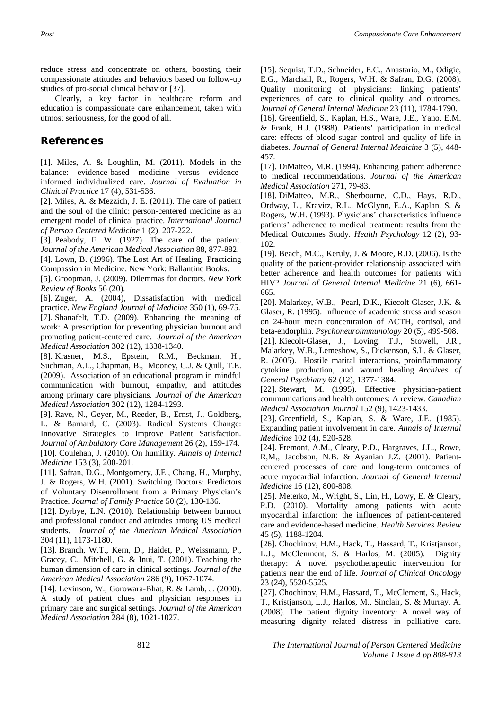reduce stress and concentrate on others, boosting their compassionate attitudes and behaviors based on follow-up studies of pro-social clinical behavior [37].

Clearly, a key factor in healthcare reform and education is compassionate care enhancement, taken with utmost seriousness, for the good of all.

## References

[1]. Miles, A. & Loughlin, M. (2011). Models in the balance: evidence-based medicine versus evidenceinformed individualized care. *Journal of Evaluation in Clinical Practice* 17 (4), 531-536.

[2]. Miles, A. & Mezzich, J. E. (2011). The care of patient and the soul of the clinic: person-centered medicine as an emergent model of clinical practice. *International Journal of Person Centered Medicine* 1 (2), 207-222.

[3]. Peabody, F. W. (1927). The care of the patient. *Journal of the American Medical Association* 88, 877-882. [4]. Lown, B. (1996). The Lost Art of Healing: Practicing Compassion in Medicine. New York: Ballantine Books.

[5]. Groopman, J. (2009). Dilemmas for doctors. *New York Review of Books* 56 (20).

[6]. Zuger, A. (2004), Dissatisfaction with medical practice. *New England Journal of Medicine* 350 (1), 69-75. [7]. Shanafelt, T.D. (2009). Enhancing the meaning of work: A prescription for preventing physician burnout and promoting patient-centered care. *Journal of the American Medical Association* 302 (12), 1338-1340.

[8]. Krasner, M.S., Epstein, R.M., Beckman, H., Suchman, A.L., Chapman, B., Mooney, C.J. & Quill, T.E. (2009). Association of an educational program in mindful communication with burnout, empathy, and attitudes among primary care physicians. *Journal of the American Medical Association* 302 (12), 1284-1293.

[9]. Rave, N., Geyer, M., Reeder, B., Ernst, J., Goldberg, L. & Barnard, C. (2003). Radical Systems Change: Innovative Strategies to Improve Patient Satisfaction. *Journal of Ambulatory Care Management* 26 (2), 159-174. [10]. Coulehan, J. (2010). On humility. *Annals of Internal Medicine* 153 (3), 200-201.

[11]. Safran, D.G., Montgomery, J.E., Chang, H., Murphy, J. & Rogers, W.H. (2001). Switching Doctors: Predictors of Voluntary Disenrollment from a Primary Physician's Practice. *Journal of Family Practice* 50 (2), 130-136.

[12]. Dyrbye, L.N. (2010). Relationship between burnout and professional conduct and attitudes among US medical students. *Journal of the American Medical Association* 304 (11), 1173-1180.

[13]. Branch, W.T., Kern, D., Haidet, P., Weissmann, P., Gracey, C., Mitchell, G. & Inui, T. (2001). Teaching the human dimension of care in clinical settings. *Journal of the American Medical Association* 286 (9), 1067-1074.

[14]. Levinson, W., Gorowara-Bhat, R. & Lamb, J. (2000). A study of patient clues and physician responses in primary care and surgical settings. *Journal of the American Medical Association* 284 (8), 1021-1027.

[15]. Sequist, T.D., Schneider, E.C., Anastario, M., Odigie, E.G., Marchall, R., Rogers, W.H. & Safran, D.G. (2008). Quality monitoring of physicians: linking patients' experiences of care to clinical quality and outcomes. *Journal of General Internal Medicine* 23 (11), 1784-1790.

[16]. Greenfield, S., Kaplan, H.S., Ware, J.E., Yano, E.M. & Frank, H.J. (1988). Patients' participation in medical care: effects of blood sugar control and quality of life in diabetes. *Journal of General Internal Medicine* 3 (5), 448- 457.

[17]. DiMatteo, M.R. (1994). Enhancing patient adherence to medical recommendations. *Journal of the American Medical Association* 271, 79-83.

[18]. DiMatteo, M.R., Sherbourne, C.D., Hays, R.D., Ordway, L., Kravitz, R.L., McGlynn, E.A., Kaplan, S. & Rogers, W.H. (1993). Physicians' characteristics influence patients' adherence to medical treatment: results from the Medical Outcomes Study. *Health Psychology* 12 (2), 93- 102.

[19]. Beach, M.C., Keruly, J. & Moore, R.D. (2006). Is the quality of the patient-provider relationship associated with better adherence and health outcomes for patients with HIV? *Journal of General Internal Medicine* 21 (6), 661- 665.

[20]. Malarkey, W.B., Pearl, D.K., Kiecolt-Glaser, J.K. & Glaser, R. (1995). Influence of academic stress and season on 24-hour mean concentration of ACTH, cortisol, and beta-endorphin. *Psychoneuroimmunology* 20 (5), 499-508.

[21]. Kiecolt-Glaser, J., Loving, T.J., Stowell, J.R., Malarkey, W.B., Lemeshow, S., Dickenson, S.L. & Glaser, R. (2005). Hostile marital interactions, proinflammatory cytokine production, and wound healing. *Archives of General Psychiatry* 62 (12), 1377-1384.

[22]. Stewart, M. (1995). Effective physician-patient communications and health outcomes: A review. *Canadian Medical Association Journal* 152 (9), 1423-1433.

[23]. Greenfield, S., Kaplan, S. & Ware, J.E. (1985). Expanding patient involvement in care. *Annals of Internal Medicine* 102 (4), 520-528.

[24]. Fremont, A.M., Cleary, P.D., Hargraves, J.L., Rowe, R,M,, Jacobson, N.B. & Ayanian J.Z. (2001). Patientcentered processes of care and long-term outcomes of acute myocardial infarction. *Journal of General Internal Medicine* 16 (12), 800-808.

[25]. Meterko, M., Wright, S., Lin, H., Lowy, E. & Cleary, P.D. (2010). Mortality among patients with acute myocardial infarction: the influences of patient-centered care and evidence-based medicine. *Health Services Review* 45 (5), 1188-1204.

[26]. Chochinov, H.M., Hack, T., Hassard, T., Kristjanson, L.J., McClemnent, S. & Harlos, M. (2005). Dignity therapy: A novel psychotherapeutic intervention for patients near the end of life. *Journal of Clinical Oncology* 23 (24), 5520-5525.

[27]. Chochinov, H.M., Hassard, T., McClement, S., Hack, T., Kristjanson, L.J., Harlos, M., Sinclair, S. & Murray, A. (2008). The patient dignity inventory: A novel way of measuring dignity related distress in palliative care.